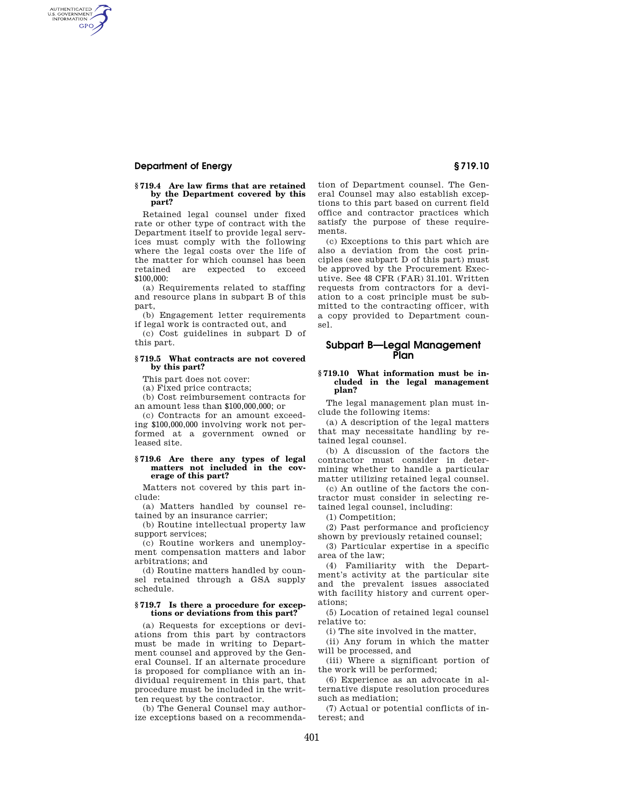# **Department of Energy § 719.10**

AUTHENTICATED<br>U.S. GOVERNMENT<br>INFORMATION **GPO** 

# **§ 719.4 Are law firms that are retained by the Department covered by this part?**

Retained legal counsel under fixed rate or other type of contract with the Department itself to provide legal services must comply with the following where the legal costs over the life of the matter for which counsel has been retained are expected to exceed  $$100,000$ 

(a) Requirements related to staffing and resource plans in subpart B of this part,

(b) Engagement letter requirements if legal work is contracted out, and

(c) Cost guidelines in subpart D of this part.

# **§ 719.5 What contracts are not covered by this part?**

This part does not cover:

(a) Fixed price contracts;

(b) Cost reimbursement contracts for an amount less than \$100,000,000; or

(c) Contracts for an amount exceeding \$100,000,000 involving work not performed at a government owned or leased site.

# **§ 719.6 Are there any types of legal matters not included in the coverage of this part?**

Matters not covered by this part include:

(a) Matters handled by counsel retained by an insurance carrier;

(b) Routine intellectual property law support services;

(c) Routine workers and unemployment compensation matters and labor arbitrations; and

(d) Routine matters handled by counsel retained through a GSA supply schedule.

## **§ 719.7 Is there a procedure for exceptions or deviations from this part?**

(a) Requests for exceptions or deviations from this part by contractors must be made in writing to Department counsel and approved by the General Counsel. If an alternate procedure is proposed for compliance with an individual requirement in this part, that procedure must be included in the written request by the contractor.

(b) The General Counsel may authorize exceptions based on a recommenda-

tion of Department counsel. The General Counsel may also establish exceptions to this part based on current field office and contractor practices which satisfy the purpose of these requirements.

(c) Exceptions to this part which are also a deviation from the cost principles (see subpart D of this part) must be approved by the Procurement Executive. See 48 CFR (FAR) 31.101. Written requests from contractors for a deviation to a cost principle must be submitted to the contracting officer, with a copy provided to Department counsel.

# **Subpart B—Legal Management Plan**

### **§ 719.10 What information must be included in the legal management plan?**

The legal management plan must include the following items:

(a) A description of the legal matters that may necessitate handling by retained legal counsel.

(b) A discussion of the factors the contractor must consider in determining whether to handle a particular matter utilizing retained legal counsel.

(c) An outline of the factors the contractor must consider in selecting retained legal counsel, including:

(1) Competition;

(2) Past performance and proficiency shown by previously retained counsel;

(3) Particular expertise in a specific area of the law;

(4) Familiarity with the Department's activity at the particular site and the prevalent issues associated with facility history and current operations;

(5) Location of retained legal counsel relative to:

(i) The site involved in the matter,

(ii) Any forum in which the matter will be processed, and

(iii) Where a significant portion of the work will be performed;

(6) Experience as an advocate in alternative dispute resolution procedures such as mediation;

(7) Actual or potential conflicts of interest; and

401